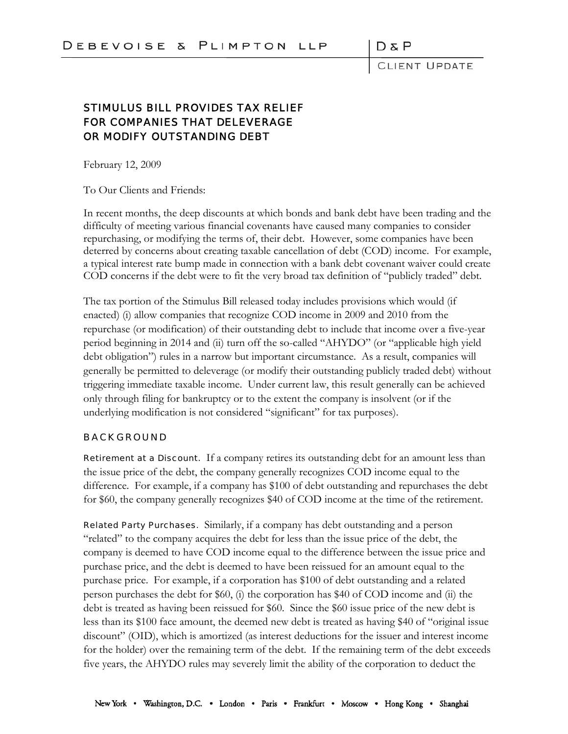CLIENT UPDATE

## STIMULUS BILL PROVIDES TAX RELIEF FOR COMPANIES THAT DELEVERAGE OR MODIFY OUTSTANDING DEBT

February 12, 2009

To Our Clients and Friends:

In recent months, the deep discounts at which bonds and bank debt have been trading and the difficulty of meeting various financial covenants have caused many companies to consider repurchasing, or modifying the terms of, their debt. However, some companies have been deterred by concerns about creating taxable cancellation of debt (COD) income. For example, a typical interest rate bump made in connection with a bank debt covenant waiver could create COD concerns if the debt were to fit the very broad tax definition of "publicly traded" debt.

The tax portion of the Stimulus Bill released today includes provisions which would (if enacted) (i) allow companies that recognize COD income in 2009 and 2010 from the repurchase (or modification) of their outstanding debt to include that income over a five-year period beginning in 2014 and (ii) turn off the so-called "AHYDO" (or "applicable high yield debt obligation") rules in a narrow but important circumstance. As a result, companies will generally be permitted to deleverage (or modify their outstanding publicly traded debt) without triggering immediate taxable income. Under current law, this result generally can be achieved only through filing for bankruptcy or to the extent the company is insolvent (or if the underlying modification is not considered "significant" for tax purposes).

## BACKGROUND

Retirement at a Discount. If a company retires its outstanding debt for an amount less than the issue price of the debt, the company generally recognizes COD income equal to the difference. For example, if a company has \$100 of debt outstanding and repurchases the debt for \$60, the company generally recognizes \$40 of COD income at the time of the retirement.

Related Party Purchases. Similarly, if a company has debt outstanding and a person "related" to the company acquires the debt for less than the issue price of the debt, the company is deemed to have COD income equal to the difference between the issue price and purchase price, and the debt is deemed to have been reissued for an amount equal to the purchase price. For example, if a corporation has \$100 of debt outstanding and a related person purchases the debt for \$60, (i) the corporation has \$40 of COD income and (ii) the debt is treated as having been reissued for \$60. Since the \$60 issue price of the new debt is less than its \$100 face amount, the deemed new debt is treated as having \$40 of "original issue discount" (OID), which is amortized (as interest deductions for the issuer and interest income for the holder) over the remaining term of the debt. If the remaining term of the debt exceeds five years, the AHYDO rules may severely limit the ability of the corporation to deduct the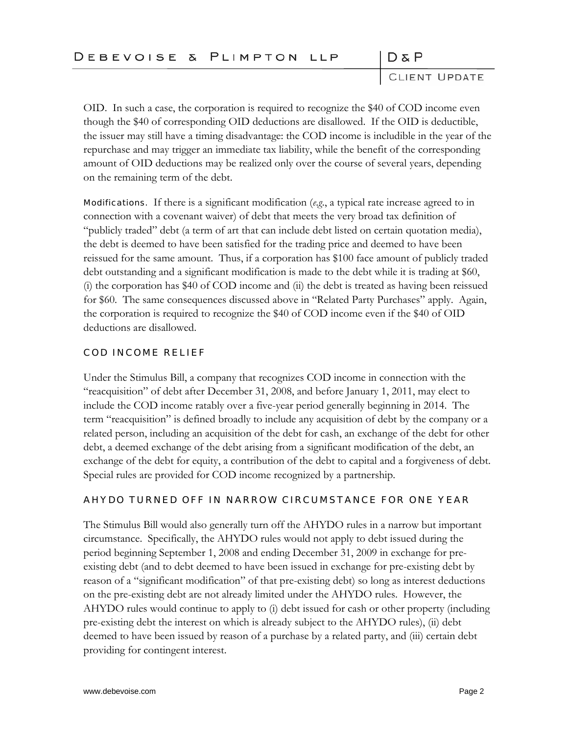|  |  |  |  |  |  |  |  |  | DEBEVOISE & PLIMPTON LLP |  |  |  |  |  |  |  |  |  |  |  |
|--|--|--|--|--|--|--|--|--|--------------------------|--|--|--|--|--|--|--|--|--|--|--|
|--|--|--|--|--|--|--|--|--|--------------------------|--|--|--|--|--|--|--|--|--|--|--|

CLIENT UPDATE

DδP

OID. In such a case, the corporation is required to recognize the \$40 of COD income even though the \$40 of corresponding OID deductions are disallowed. If the OID is deductible, the issuer may still have a timing disadvantage: the COD income is includible in the year of the repurchase and may trigger an immediate tax liability, while the benefit of the corresponding amount of OID deductions may be realized only over the course of several years, depending on the remaining term of the debt.

Modifications. If there is a significant modification (*e*.*g*., a typical rate increase agreed to in connection with a covenant waiver) of debt that meets the very broad tax definition of "publicly traded" debt (a term of art that can include debt listed on certain quotation media), the debt is deemed to have been satisfied for the trading price and deemed to have been reissued for the same amount. Thus, if a corporation has \$100 face amount of publicly traded debt outstanding and a significant modification is made to the debt while it is trading at \$60, (i) the corporation has \$40 of COD income and (ii) the debt is treated as having been reissued for \$60. The same consequences discussed above in "Related Party Purchases" apply. Again, the corporation is required to recognize the \$40 of COD income even if the \$40 of OID deductions are disallowed.

## COD INCOME RELIEF

Under the Stimulus Bill, a company that recognizes COD income in connection with the "reacquisition" of debt after December 31, 2008, and before January 1, 2011, may elect to include the COD income ratably over a five-year period generally beginning in 2014. The term "reacquisition" is defined broadly to include any acquisition of debt by the company or a related person, including an acquisition of the debt for cash, an exchange of the debt for other debt, a deemed exchange of the debt arising from a significant modification of the debt, an exchange of the debt for equity, a contribution of the debt to capital and a forgiveness of debt. Special rules are provided for COD income recognized by a partnership.

## AHYDO TURNED OFF IN NARROW CIRCUMSTANCE FOR ONE YEAR

The Stimulus Bill would also generally turn off the AHYDO rules in a narrow but important circumstance. Specifically, the AHYDO rules would not apply to debt issued during the period beginning September 1, 2008 and ending December 31, 2009 in exchange for preexisting debt (and to debt deemed to have been issued in exchange for pre-existing debt by reason of a "significant modification" of that pre-existing debt) so long as interest deductions on the pre-existing debt are not already limited under the AHYDO rules. However, the AHYDO rules would continue to apply to (i) debt issued for cash or other property (including pre-existing debt the interest on which is already subject to the AHYDO rules), (ii) debt deemed to have been issued by reason of a purchase by a related party, and (iii) certain debt providing for contingent interest.